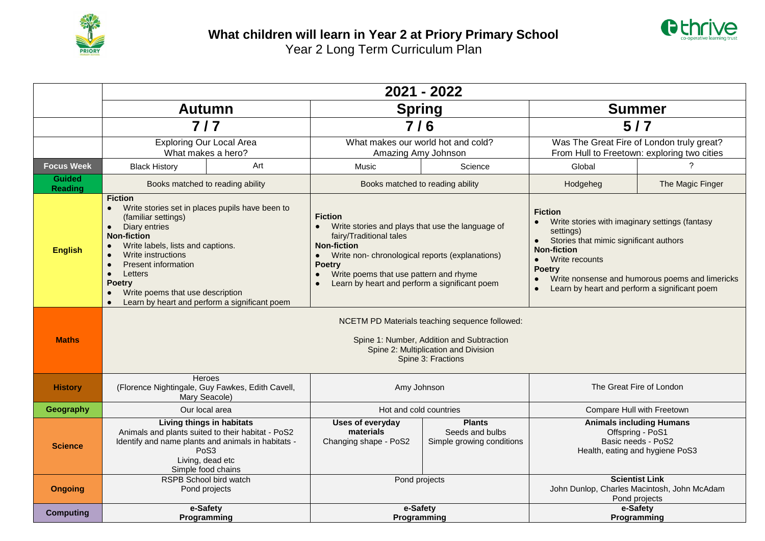



|                                 | 2021 - 2022                                                                                                                                                                                                                                                                                                                                                         |     |                                                                                                                                                                                                                                                                                                |                                                               |                                                                                                                                                                                                                                                                                                                |                    |  |  |  |
|---------------------------------|---------------------------------------------------------------------------------------------------------------------------------------------------------------------------------------------------------------------------------------------------------------------------------------------------------------------------------------------------------------------|-----|------------------------------------------------------------------------------------------------------------------------------------------------------------------------------------------------------------------------------------------------------------------------------------------------|---------------------------------------------------------------|----------------------------------------------------------------------------------------------------------------------------------------------------------------------------------------------------------------------------------------------------------------------------------------------------------------|--------------------|--|--|--|
|                                 | <b>Autumn</b>                                                                                                                                                                                                                                                                                                                                                       |     | <b>Spring</b>                                                                                                                                                                                                                                                                                  |                                                               | <b>Summer</b>                                                                                                                                                                                                                                                                                                  |                    |  |  |  |
|                                 | $7/7$                                                                                                                                                                                                                                                                                                                                                               |     | 7/6                                                                                                                                                                                                                                                                                            |                                                               | $5/7$                                                                                                                                                                                                                                                                                                          |                    |  |  |  |
|                                 | <b>Exploring Our Local Area</b><br>What makes a hero?                                                                                                                                                                                                                                                                                                               |     | What makes our world hot and cold?<br>Amazing Amy Johnson                                                                                                                                                                                                                                      |                                                               | Was The Great Fire of London truly great?<br>From Hull to Freetown: exploring two cities                                                                                                                                                                                                                       |                    |  |  |  |
| <b>Focus Week</b>               | <b>Black History</b>                                                                                                                                                                                                                                                                                                                                                | Art | Music                                                                                                                                                                                                                                                                                          | Science                                                       | Global                                                                                                                                                                                                                                                                                                         | $\gamma$           |  |  |  |
| <b>Guided</b><br><b>Reading</b> | Books matched to reading ability                                                                                                                                                                                                                                                                                                                                    |     | Books matched to reading ability                                                                                                                                                                                                                                                               |                                                               | Hodgeheg                                                                                                                                                                                                                                                                                                       | The Magic Finger   |  |  |  |
| <b>English</b>                  | <b>Fiction</b><br>Write stories set in places pupils have been to<br>$\bullet$<br>(familiar settings)<br>Diary entries<br>$\bullet$<br><b>Non-fiction</b><br>Write labels, lists and captions.<br>Write instructions<br><b>Present information</b><br>Letters<br><b>Poetry</b><br>Write poems that use description<br>Learn by heart and perform a significant poem |     | <b>Fiction</b><br>Write stories and plays that use the language of<br>fairy/Traditional tales<br><b>Non-fiction</b><br>Write non-chronological reports (explanations)<br>$\bullet$<br><b>Poetry</b><br>Write poems that use pattern and rhyme<br>Learn by heart and perform a significant poem |                                                               | <b>Fiction</b><br>Write stories with imaginary settings (fantasy<br>settings)<br>Stories that mimic significant authors<br>$\bullet$<br><b>Non-fiction</b><br>Write recounts<br>$\bullet$<br><b>Poetry</b><br>Write nonsense and humorous poems and limericks<br>Learn by heart and perform a significant poem |                    |  |  |  |
| <b>Maths</b>                    | NCETM PD Materials teaching sequence followed:<br>Spine 1: Number, Addition and Subtraction<br>Spine 2: Multiplication and Division<br>Spine 3: Fractions                                                                                                                                                                                                           |     |                                                                                                                                                                                                                                                                                                |                                                               |                                                                                                                                                                                                                                                                                                                |                    |  |  |  |
| <b>History</b>                  | <b>Heroes</b><br>(Florence Nightingale, Guy Fawkes, Edith Cavell,<br>Mary Seacole)                                                                                                                                                                                                                                                                                  |     | Amy Johnson                                                                                                                                                                                                                                                                                    |                                                               | The Great Fire of London                                                                                                                                                                                                                                                                                       |                    |  |  |  |
| Geography                       | Our local area                                                                                                                                                                                                                                                                                                                                                      |     | Hot and cold countries                                                                                                                                                                                                                                                                         |                                                               | Compare Hull with Freetown                                                                                                                                                                                                                                                                                     |                    |  |  |  |
| <b>Science</b>                  | Living things in habitats<br>Animals and plants suited to their habitat - PoS2<br>Identify and name plants and animals in habitats -<br>Po <sub>S3</sub><br>Living, dead etc<br>Simple food chains                                                                                                                                                                  |     | Uses of everyday<br>materials<br>Changing shape - PoS2                                                                                                                                                                                                                                         | <b>Plants</b><br>Seeds and bulbs<br>Simple growing conditions | <b>Animals including Humans</b><br>Offspring - PoS1<br>Health, eating and hygiene PoS3                                                                                                                                                                                                                         | Basic needs - PoS2 |  |  |  |
| <b>Ongoing</b>                  | <b>RSPB School bird watch</b><br>Pond projects                                                                                                                                                                                                                                                                                                                      |     | Pond projects                                                                                                                                                                                                                                                                                  |                                                               | <b>Scientist Link</b><br>John Dunlop, Charles Macintosh, John McAdam<br>Pond projects                                                                                                                                                                                                                          |                    |  |  |  |
| <b>Computing</b>                | e-Safety<br>Programming                                                                                                                                                                                                                                                                                                                                             |     | e-Safety<br>Programming                                                                                                                                                                                                                                                                        |                                                               | e-Safety<br>Programming                                                                                                                                                                                                                                                                                        |                    |  |  |  |